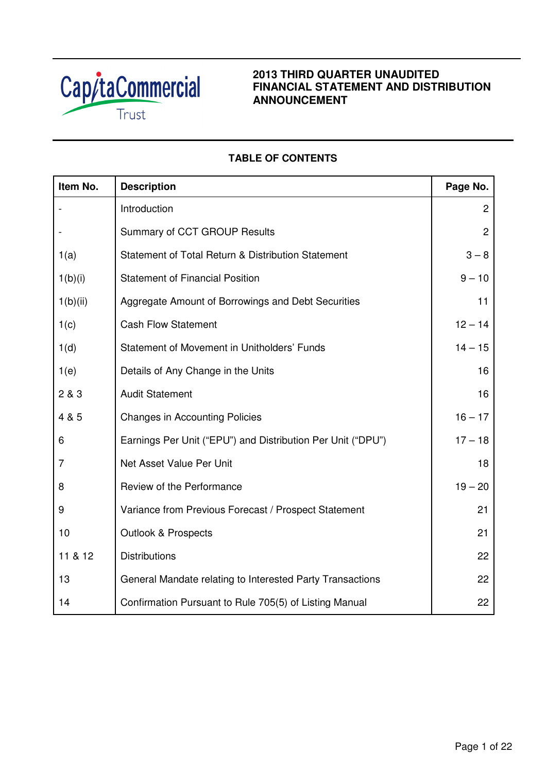

# **2013 THIRD QUARTER UNAUDITED FINANCIAL STATEMENT AND DISTRIBUTION ANNOUNCEMENT**

# **TABLE OF CONTENTS**

| Item No.       | <b>Description</b>                                          | Page No.       |
|----------------|-------------------------------------------------------------|----------------|
|                | Introduction                                                | $\overline{2}$ |
|                | Summary of CCT GROUP Results                                | $\overline{2}$ |
| 1(a)           | Statement of Total Return & Distribution Statement          | $3 - 8$        |
| 1(b)(i)        | <b>Statement of Financial Position</b>                      | $9 - 10$       |
| 1(b)(ii)       | Aggregate Amount of Borrowings and Debt Securities          | 11             |
| 1(c)           | <b>Cash Flow Statement</b>                                  | $12 - 14$      |
| 1(d)           | Statement of Movement in Unitholders' Funds                 | $14 - 15$      |
| 1(e)           | Details of Any Change in the Units                          | 16             |
| 2 & 3          | <b>Audit Statement</b>                                      | 16             |
| 4 & 5          | <b>Changes in Accounting Policies</b>                       | $16 - 17$      |
| 6              | Earnings Per Unit ("EPU") and Distribution Per Unit ("DPU") | $17 - 18$      |
| $\overline{7}$ | Net Asset Value Per Unit                                    | 18             |
| 8              | Review of the Performance                                   | $19 - 20$      |
| 9              | Variance from Previous Forecast / Prospect Statement        | 21             |
| 10             | <b>Outlook &amp; Prospects</b>                              | 21             |
| 11 & 12        | <b>Distributions</b>                                        | 22             |
| 13             | General Mandate relating to Interested Party Transactions   | 22             |
| 14             | Confirmation Pursuant to Rule 705(5) of Listing Manual      | 22             |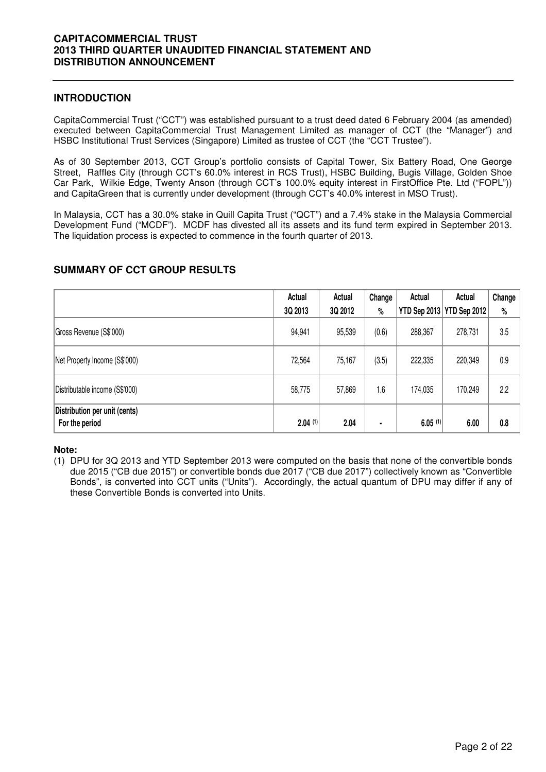### **INTRODUCTION**

CapitaCommercial Trust ("CCT") was established pursuant to a trust deed dated 6 February 2004 (as amended) executed between CapitaCommercial Trust Management Limited as manager of CCT (the "Manager") and HSBC Institutional Trust Services (Singapore) Limited as trustee of CCT (the "CCT Trustee").

As of 30 September 2013, CCT Group's portfolio consists of Capital Tower, Six Battery Road, One George Street, Raffles City (through CCT's 60.0% interest in RCS Trust), HSBC Building, Bugis Village, Golden Shoe Car Park, Wilkie Edge, Twenty Anson (through CCT's 100.0% equity interest in FirstOffice Pte. Ltd ("FOPL")) and CapitaGreen that is currently under development (through CCT's 40.0% interest in MSO Trust).

In Malaysia, CCT has a 30.0% stake in Quill Capita Trust ("QCT") and a 7.4% stake in the Malaysia Commercial Development Fund ("MCDF"). MCDF has divested all its assets and its fund term expired in September 2013. The liquidation process is expected to commence in the fourth quarter of 2013.

# **SUMMARY OF CCT GROUP RESULTS**

|                                                 | Actual<br>3Q 2013 | Actual<br>3Q 2012 | Change<br>% | Actual<br><b>YTD Sep 2013</b> | Actual<br>YTD Sep 2012 | Change<br>$\%$ |
|-------------------------------------------------|-------------------|-------------------|-------------|-------------------------------|------------------------|----------------|
| Gross Revenue (S\$'000)                         | 94,941            | 95,539            | (0.6)       | 288,367                       | 278,731                | 3.5            |
| Net Property Income (S\$'000)                   | 72,564            | 75,167            | (3.5)       | 222,335                       | 220,349                | 0.9            |
| Distributable income (S\$'000)                  | 58,775            | 57,869            | 1.6         | 174,035                       | 170,249                | 2.2            |
| Distribution per unit (cents)<br>For the period | $2.04$ (1)        | 2.04              | ٠           | $6.05$ <sup>(1)</sup>         | 6.00                   | 0.8            |

#### **Note:**

(1) DPU for 3Q 2013 and YTD September 2013 were computed on the basis that none of the convertible bonds due 2015 ("CB due 2015") or convertible bonds due 2017 ("CB due 2017") collectively known as "Convertible Bonds", is converted into CCT units ("Units"). Accordingly, the actual quantum of DPU may differ if any of these Convertible Bonds is converted into Units.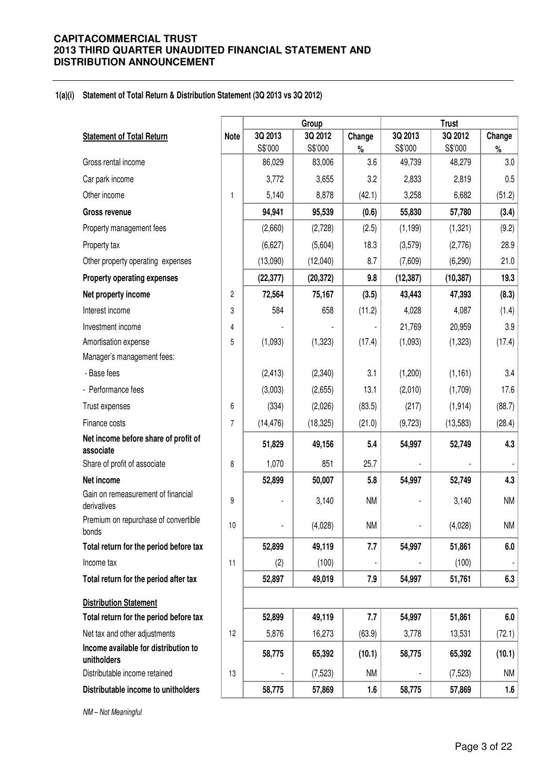#### **1(a)(i) Statement of Total Return & Distribution Statement (3Q 2013 vs 3Q 2012)**

|                                                     |                |           | Group     | <b>Trust</b> |           |           |           |
|-----------------------------------------------------|----------------|-----------|-----------|--------------|-----------|-----------|-----------|
| <b>Statement of Total Return</b>                    | <b>Note</b>    | 3Q 2013   | 3Q 2012   | Change       | 3Q 2013   | 3Q 2012   | Change    |
|                                                     |                | S\$'000   | S\$'000   | $\%$         | S\$'000   | S\$'000   | $\%$      |
| Gross rental income                                 |                | 86,029    | 83,006    | 3.6          | 49,739    | 48,279    | 3.0       |
| Car park income                                     |                | 3,772     | 3,655     | 3.2          | 2,833     | 2,819     | 0.5       |
| Other income                                        | 1              | 5,140     | 8,878     | (42.1)       | 3,258     | 6,682     | (51.2)    |
| <b>Gross revenue</b>                                |                | 94,941    | 95,539    | (0.6)        | 55,830    | 57,780    | (3.4)     |
| Property management fees                            |                | (2,660)   | (2,728)   | (2.5)        | (1, 199)  | (1, 321)  | (9.2)     |
| Property tax                                        |                | (6,627)   | (5,604)   | 18.3         | (3,579)   | (2,776)   | 28.9      |
| Other property operating expenses                   |                | (13,090)  | (12,040)  | 8.7          | (7,609)   | (6, 290)  | 21.0      |
| <b>Property operating expenses</b>                  |                | (22, 377) | (20, 372) | 9.8          | (12, 387) | (10, 387) | 19.3      |
| Net property income                                 | $\overline{2}$ | 72,564    | 75,167    | (3.5)        | 43,443    | 47,393    | (8.3)     |
| Interest income                                     | 3              | 584       | 658       | (11.2)       | 4,028     | 4,087     | (1.4)     |
| Investment income                                   | $\overline{4}$ |           |           |              | 21,769    | 20,959    | 3.9       |
| Amortisation expense                                | 5              | (1,093)   | (1,323)   | (17.4)       | (1,093)   | (1, 323)  | (17.4)    |
| Manager's management fees:                          |                |           |           |              |           |           |           |
| - Base fees                                         |                | (2, 413)  | (2,340)   | 3.1          | (1,200)   | (1, 161)  | 3.4       |
| - Performance fees                                  |                | (3,003)   | (2,655)   | 13.1         | (2,010)   | (1,709)   | 17.6      |
| Trust expenses                                      | 6              | (334)     | (2,026)   | (83.5)       | (217)     | (1, 914)  | (88.7)    |
| Finance costs                                       | $\overline{7}$ | (14, 476) | (18, 325) | (21.0)       | (9,723)   | (13, 583) | (28.4)    |
| Net income before share of profit of<br>associate   |                | 51,829    | 49,156    | 5.4          | 54,997    | 52,749    | 4.3       |
| Share of profit of associate                        | 8              | 1,070     | 851       | 25.7         |           |           |           |
| Net income                                          |                | 52,899    | 50,007    | 5.8          | 54,997    | 52,749    | 4.3       |
| Gain on remeasurement of financial<br>derivatives   | 9              |           | 3,140     | <b>NM</b>    |           | 3,140     | <b>NM</b> |
| Premium on repurchase of convertible<br>bonds       | 10             |           | (4,028)   | <b>NM</b>    |           | (4,028)   | <b>NM</b> |
| Total return for the period before tax              |                | 52,899    | 49,119    | 7.7          | 54,997    | 51,861    | 6.0       |
| Income tax                                          | 11             | (2)       | (100)     |              |           | (100)     |           |
| Total return for the period after tax               |                | 52,897    | 49,019    | 7.9          | 54,997    | 51,761    | 6.3       |
| <b>Distribution Statement</b>                       |                |           |           |              |           |           |           |
| Total return for the period before tax              |                | 52,899    | 49,119    | 7.7          | 54,997    | 51,861    | 6.0       |
| Net tax and other adjustments                       | 12             | 5,876     | 16,273    | (63.9)       | 3,778     | 13,531    | (72.1)    |
| Income available for distribution to<br>unitholders |                | 58,775    | 65,392    | (10.1)       | 58,775    | 65,392    | (10.1)    |
| Distributable income retained                       | 13             |           | (7,523)   | <b>NM</b>    |           | (7, 523)  | <b>NM</b> |
| Distributable income to unitholders                 |                | 58,775    | 57,869    | 1.6          | 58,775    | 57,869    | 1.6       |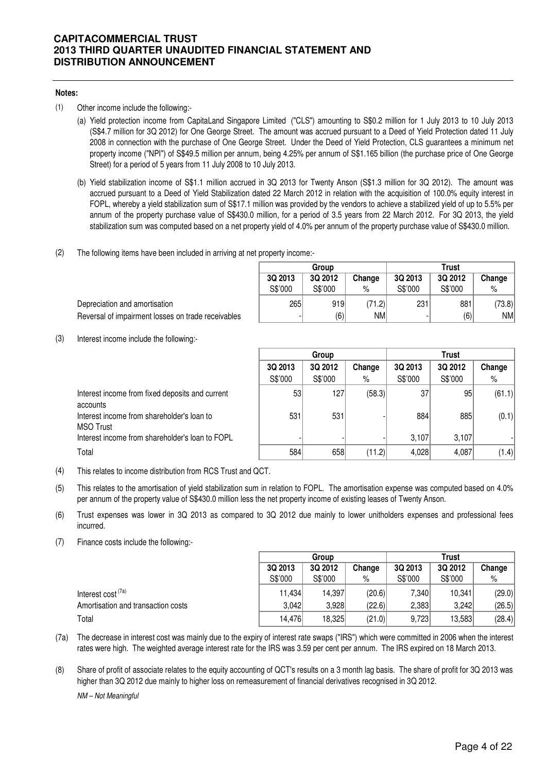#### **Notes:**

- (1) Other income include the following:-
	- (a) Yield protection income from CapitaLand Singapore Limited ("CLS") amounting to S\$0.2 million for 1 July 2013 to 10 July 2013 (S\$4.7 million for 3Q 2012) for One George Street. The amount was accrued pursuant to a Deed of Yield Protection dated 11 July 2008 in connection with the purchase of One George Street. Under the Deed of Yield Protection, CLS guarantees a minimum net property income ("NPI") of S\$49.5 million per annum, being 4.25% per annum of S\$1.165 billion (the purchase price of One George Street) for a period of 5 years from 11 July 2008 to 10 July 2013.
	- (b) Yield stabilization income of S\$1.1 million accrued in 3Q 2013 for Twenty Anson (S\$1.3 million for 3Q 2012). The amount was accrued pursuant to a Deed of Yield Stabilization dated 22 March 2012 in relation with the acquisition of 100.0% equity interest in FOPL, whereby a yield stabilization sum of S\$17.1 million was provided by the vendors to achieve a stabilized yield of up to 5.5% per annum of the property purchase value of S\$430.0 million, for a period of 3.5 years from 22 March 2012. For 3Q 2013, the yield stabilization sum was computed based on a net property yield of 4.0% per annum of the property purchase value of S\$430.0 million.

**Group**

(2) The following items have been included in arriving at net property income:-

Depreciation and amortisation 265 919 (71.2) 231 881 (73.8) Reversal of impairment losses on trade receivables

(3) Interest income include the following:-

accounts

|                                                             |                    | Group              |             | <b>Trust</b>       |                    |             |  |
|-------------------------------------------------------------|--------------------|--------------------|-------------|--------------------|--------------------|-------------|--|
|                                                             | 3Q 2013<br>S\$'000 | 3Q 2012<br>S\$'000 | Change<br>% | 3Q 2013<br>S\$'000 | 3Q 2012<br>S\$'000 | Change<br>% |  |
| Interest income from fixed deposits and current<br>accounts | 53                 | 127                | (58.3)      | 37                 | 95                 | (61.1)      |  |
| Interest income from shareholder's loan to<br>MSO Trust     | 531                | 531                |             | 884                | 885                | (0.1)       |  |
| Interest income from shareholder's loan to FOPL             |                    |                    |             | 3.107              | 3.107              |             |  |
| Total                                                       | 584                | 658                | (11.2)      | 4,028              | 4,087              | (1.4)       |  |

**3Q 2013 3Q 2012 Change 3Q 2013 3Q 2012 Change** S\$'000 S\$'000 % S\$'000 S\$'000 %

**Trust**

- (6) NM - (6) NM

(4) This relates to income distribution from RCS Trust and QCT.

- (5) This relates to the amortisation of yield stabilization sum in relation to FOPL. The amortisation expense was computed based on 4.0% per annum of the property value of S\$430.0 million less the net property income of existing leases of Twenty Anson.
- (6) Trust expenses was lower in 3Q 2013 as compared to 3Q 2012 due mainly to lower unitholders expenses and professional fees incurred.
- (7) Finance costs include the following:-

|                                    | Group   |         |        | <b>Trust</b> |         |        |  |
|------------------------------------|---------|---------|--------|--------------|---------|--------|--|
|                                    | 3Q 2013 | 3Q 2012 | Change | 3Q 2013      | 3Q 2012 | Change |  |
|                                    | S\$'000 | S\$'000 | %      | S\$'000      | S\$'000 | %      |  |
| Interest cost <sup>(7a)</sup>      | 11.434  | 14.397  | (20.6) | 7.340        | 10.341  | (29.0) |  |
| Amortisation and transaction costs | 3.042   | 3.928   | (22.6) | 2.383        | 3.242   | (26.5) |  |
| Total                              | 14,476  | 18,325  | (21.0) | 9,723        | 13,583  | (28.4) |  |

- (7a) The decrease in interest cost was mainly due to the expiry of interest rate swaps ("IRS") which were committed in 2006 when the interest rates were high. The weighted average interest rate for the IRS was 3.59 per cent per annum. The IRS expired on 18 March 2013.
- (8) Share of profit of associate relates to the equity accounting of QCT's results on a 3 month lag basis. The share of profit for 3Q 2013 was higher than 3Q 2012 due mainly to higher loss on remeasurement of financial derivatives recognised in 3Q 2012.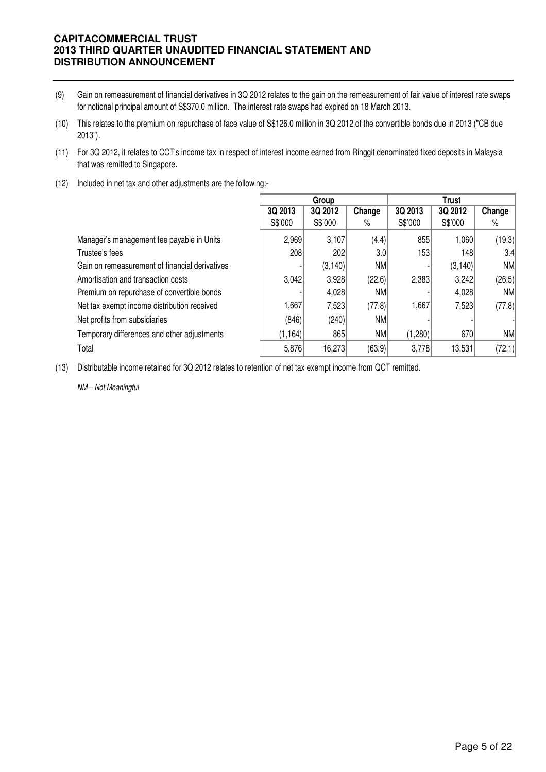- (9) Gain on remeasurement of financial derivatives in 3Q 2012 relates to the gain on the remeasurement of fair value of interest rate swaps for notional principal amount of S\$370.0 million. The interest rate swaps had expired on 18 March 2013.
- (10) This relates to the premium on repurchase of face value of S\$126.0 million in 3Q 2012 of the convertible bonds due in 2013 ("CB due 2013").
- (11) For 3Q 2012, it relates to CCT's income tax in respect of interest income earned from Ringgit denominated fixed deposits in Malaysia that was remitted to Singapore.
- (12) Included in net tax and other adjustments are the following:-

|                                                | Group    |          |                  | Trust   |          |           |
|------------------------------------------------|----------|----------|------------------|---------|----------|-----------|
|                                                | 3Q 2013  | 3Q 2012  | Change           | 3Q 2013 | 3Q 2012  | Change    |
|                                                | S\$'000  | S\$'000  | %                | S\$'000 | S\$'000  | %         |
| Manager's management fee payable in Units      | 2,969    | 3,107    | (4.4)            | 855     | 1,060    | (19.3)    |
| Trustee's fees                                 | 208      | 202      | 3.0 <sub>l</sub> | 1531    | 1481     | 3.4       |
| Gain on remeasurement of financial derivatives |          | (3, 140) | NM               |         | (3, 140) | <b>NM</b> |
| Amortisation and transaction costs             | 3,042    | 3,928    | (22.6)           | 2,383   | 3,242    | (26.5)    |
| Premium on repurchase of convertible bonds     |          | 4,028    | NM               |         | 4,028    | NM        |
| Net tax exempt income distribution received    | 1,667    | 7,523    | (77.8)           | 1,667   | 7,523    | (77.8)    |
| Net profits from subsidiaries                  | (846)    | (240)    | NM               |         |          |           |
| Temporary differences and other adjustments    | (1, 164) | 865      | NM               | (1,280) | 670      | NM        |
| Total                                          | 5,876    | 16,273   | (63.9)           | 3,778   | 13,531   | (72.1)    |

(13) Distributable income retained for 3Q 2012 relates to retention of net tax exempt income from QCT remitted.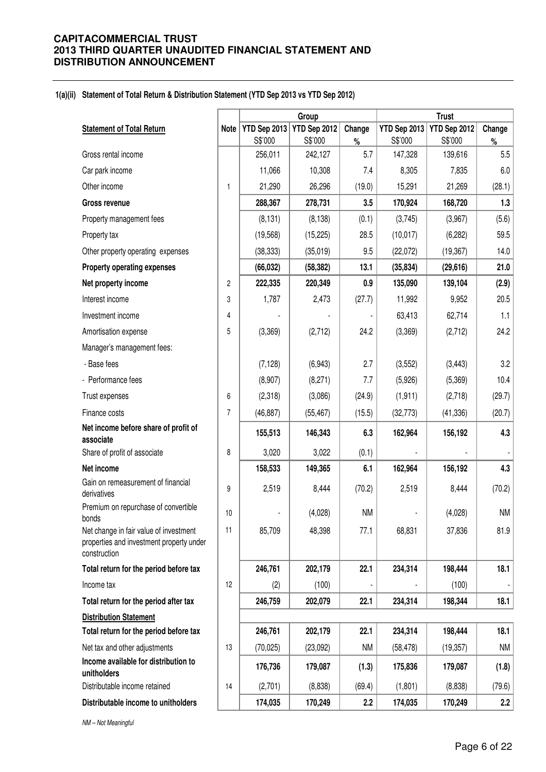### **1(a)(ii) Statement of Total Return & Distribution Statement (YTD Sep 2013 vs YTD Sep 2012)**

|                                                                                                    |             | Group        |              |           |              |              |           |
|----------------------------------------------------------------------------------------------------|-------------|--------------|--------------|-----------|--------------|--------------|-----------|
| <b>Statement of Total Return</b>                                                                   | <b>Note</b> | YTD Sep 2013 | YTD Sep 2012 | Change    | YTD Sep 2013 | YTD Sep 2012 | Change    |
|                                                                                                    |             | S\$'000      | S\$'000      | $\%$      | S\$'000      | S\$'000      | $\%$      |
| Gross rental income                                                                                |             | 256,011      | 242,127      | 5.7       | 147,328      | 139,616      | 5.5       |
| Car park income                                                                                    |             | 11,066       | 10,308       | 7.4       | 8,305        | 7,835        | 6.0       |
| Other income                                                                                       | 1           | 21,290       | 26,296       | (19.0)    | 15,291       | 21,269       | (28.1)    |
| <b>Gross revenue</b>                                                                               |             | 288,367      | 278,731      | 3.5       | 170,924      | 168,720      | 1.3       |
| Property management fees                                                                           |             | (8, 131)     | (8, 138)     | (0.1)     | (3,745)      | (3,967)      | (5.6)     |
| Property tax                                                                                       |             | (19, 568)    | (15, 225)    | 28.5      | (10, 017)    | (6, 282)     | 59.5      |
| Other property operating expenses                                                                  |             | (38, 333)    | (35,019)     | 9.5       | (22,072)     | (19, 367)    | 14.0      |
| <b>Property operating expenses</b>                                                                 |             | (66, 032)    | (58, 382)    | 13.1      | (35, 834)    | (29,616)     | 21.0      |
| Net property income                                                                                | 2           | 222,335      | 220,349      | 0.9       | 135,090      | 139,104      | (2.9)     |
| Interest income                                                                                    | 3           | 1,787        | 2,473        | (27.7)    | 11,992       | 9,952        | 20.5      |
| Investment income                                                                                  | 4           |              |              |           | 63,413       | 62,714       | 1.1       |
| Amortisation expense                                                                               | 5           | (3,369)      | (2,712)      | 24.2      | (3,369)      | (2,712)      | 24.2      |
| Manager's management fees:                                                                         |             |              |              |           |              |              |           |
| - Base fees                                                                                        |             | (7, 128)     | (6,943)      | 2.7       | (3, 552)     | (3, 443)     | 3.2       |
| - Performance fees                                                                                 |             | (8,907)      | (8,271)      | 7.7       | (5,926)      | (5,369)      | 10.4      |
| Trust expenses                                                                                     | 6           | (2,318)      | (3,086)      | (24.9)    | (1, 911)     | (2,718)      | (29.7)    |
| Finance costs                                                                                      | 7           | (46, 887)    | (55, 467)    | (15.5)    | (32, 773)    | (41, 336)    | (20.7)    |
| Net income before share of profit of                                                               |             | 155,513      | 146,343      | 6.3       | 162,964      | 156,192      | 4.3       |
| associate                                                                                          |             |              |              |           |              |              |           |
| Share of profit of associate                                                                       | 8           | 3,020        | 3,022        | (0.1)     |              |              |           |
| Net income                                                                                         |             | 158,533      | 149,365      | 6.1       | 162,964      | 156,192      | 4.3       |
| Gain on remeasurement of financial<br>derivatives                                                  | 9           | 2,519        | 8,444        | (70.2)    | 2,519        | 8,444        | (70.2)    |
| Premium on repurchase of convertible<br>bonds                                                      | 10          |              | (4,028)      | <b>NM</b> |              | (4,028)      | <b>NM</b> |
| Net change in fair value of investment<br>properties and investment property under<br>construction | 11          | 85,709       | 48,398       | 77.1      | 68,831       | 37,836       | 81.9      |
| Total return for the period before tax                                                             |             | 246,761      | 202,179      | 22.1      | 234,314      | 198,444      | 18.1      |
| Income tax                                                                                         | 12          | (2)          | (100)        |           |              | (100)        |           |
| Total return for the period after tax                                                              |             | 246,759      | 202,079      | 22.1      | 234,314      | 198,344      | 18.1      |
| <b>Distribution Statement</b>                                                                      |             |              |              |           |              |              |           |
| Total return for the period before tax                                                             |             | 246,761      | 202,179      | 22.1      | 234,314      | 198,444      | 18.1      |
| Net tax and other adjustments                                                                      | 13          | (70, 025)    | (23,092)     | <b>NM</b> | (58, 478)    | (19, 357)    | <b>NM</b> |
| Income available for distribution to<br>unitholders                                                |             | 176,736      | 179,087      | (1.3)     | 175,836      | 179,087      | (1.8)     |
| Distributable income retained                                                                      | 14          | (2,701)      | (8,838)      | (69.4)    | (1,801)      | (8,838)      | (79.6)    |
| Distributable income to unitholders                                                                |             | 174,035      | 170,249      | 2.2       | 174,035      | 170,249      | 2.2       |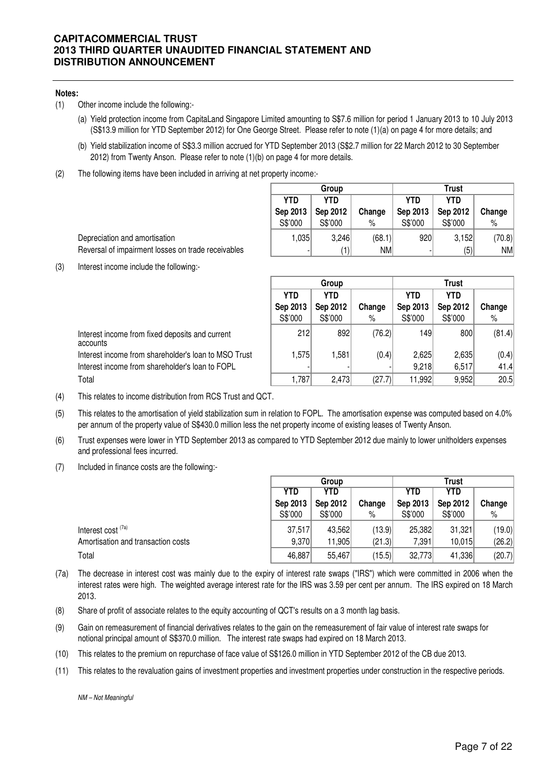#### **Notes:**

- (1) Other income include the following:-
	- (a) Yield protection income from CapitaLand Singapore Limited amounting to S\$7.6 million for period 1 January 2013 to 10 July 2013 (S\$13.9 million for YTD September 2012) for One George Street. Please refer to note (1)(a) on page 4 for more details; and
	- (b) Yield stabilization income of S\$3.3 million accrued for YTD September 2013 (S\$2.7 million for 22 March 2012 to 30 September 2012) from Twenty Anson. Please refer to note (1)(b) on page 4 for more details.
- (2) The following items have been included in arriving at net property income:-

|            | Group    |        | <b>Trust</b> |            |        |  |  |
|------------|----------|--------|--------------|------------|--------|--|--|
| <b>YTD</b> | YTD      |        | <b>YTD</b>   | <b>YTD</b> |        |  |  |
| Sep 2013   | Sep 2012 | Change | Sep 2013     | Sep 2012   | Change |  |  |
| S\$'000    | S\$'000  | %      | S\$'000      | S\$'000    | $\%$   |  |  |
| 1,035      | 3,246    | (68.1) | 920          | 3,152      | (70.8) |  |  |
|            |          | NM     |              | (5)        | NM     |  |  |

Depreciation and amortisation Reversal of impairment losses on trade receivables

(3) Interest income include the following:-

|                                                             |            | Group      |        | Trust      |            |        |  |
|-------------------------------------------------------------|------------|------------|--------|------------|------------|--------|--|
|                                                             | <b>YTD</b> | <b>YTD</b> |        | <b>YTD</b> | <b>YTD</b> |        |  |
|                                                             | Sep 2013   | Sep 2012   | Change | Sep 2013   | Sep 2012   | Change |  |
|                                                             | S\$'000    | S\$'000    | %      | S\$'000    | S\$'000    | %      |  |
| Interest income from fixed deposits and current<br>accounts | 212        | 892        | (76.2) | 1491       | 800        | (81.4) |  |
| Interest income from shareholder's loan to MSO Trust        | 1,575      | 1,581      | (0.4)  | 2,625      | 2,635      | (0.4)  |  |
| Interest income from shareholder's loan to FOPL             |            |            |        | 9,218      | 6,517      | 41.4   |  |
| Total                                                       | 1,787      | 2,473      | (27.7) | 11,992     | 9,952      | 20.5   |  |

(4) This relates to income distribution from RCS Trust and QCT.

- (5) This relates to the amortisation of yield stabilization sum in relation to FOPL. The amortisation expense was computed based on 4.0% per annum of the property value of S\$430.0 million less the net property income of existing leases of Twenty Anson.
- (6) Trust expenses were lower in YTD September 2013 as compared to YTD September 2012 due mainly to lower unitholders expenses and professional fees incurred.
- (7) Included in finance costs are the following:-

|                                    |          | Group    | Trust  |          |          |        |
|------------------------------------|----------|----------|--------|----------|----------|--------|
|                                    | YTD      | YTD      |        | YTD      | YTD      |        |
|                                    | Sep 2013 | Sep 2012 | Change | Sep 2013 | Sep 2012 | Change |
|                                    | S\$'000  | S\$'000  | %      | S\$'000  | S\$'000  | %      |
| Interest cost <sup>(7a)</sup>      | 37,517   | 43,562   | (13.9) | 25,382   | 31,321   | (19.0) |
| Amortisation and transaction costs | 9,370    | 11,905   | (21.3) | 7,391    | 10,015   | (26.2) |
| Total                              | 46,887   | 55,467   | (15.5) | 32,773   | 41,336   | (20.7) |

- (7a) The decrease in interest cost was mainly due to the expiry of interest rate swaps ("IRS") which were committed in 2006 when the interest rates were high. The weighted average interest rate for the IRS was 3.59 per cent per annum. The IRS expired on 18 March 2013.
- (8) Share of profit of associate relates to the equity accounting of QCT's results on a 3 month lag basis.
- (9) Gain on remeasurement of financial derivatives relates to the gain on the remeasurement of fair value of interest rate swaps for notional principal amount of S\$370.0 million. The interest rate swaps had expired on 18 March 2013.
- (10) This relates to the premium on repurchase of face value of S\$126.0 million in YTD September 2012 of the CB due 2013.
- (11) This relates to the revaluation gains of investment properties and investment properties under construction in the respective periods.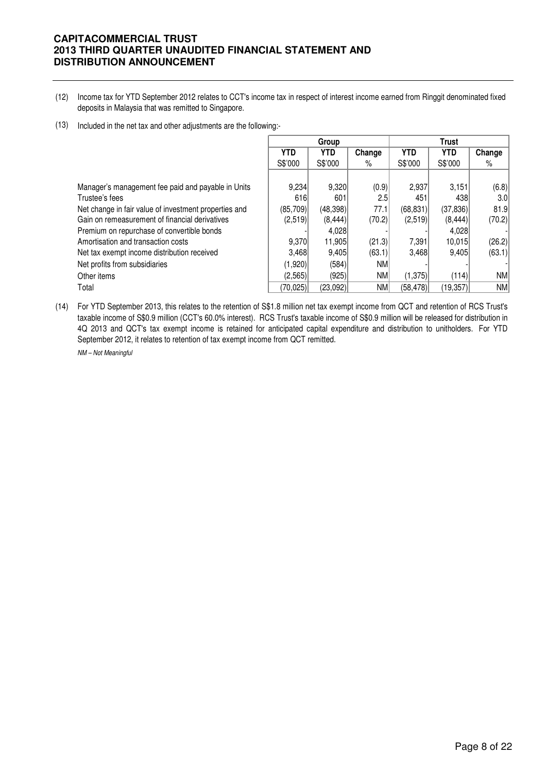- (12) Income tax for YTD September 2012 relates to CCT's income tax in respect of interest income earned from Ringgit denominated fixed deposits in Malaysia that was remitted to Singapore.
- (13) Included in the net tax and other adjustments are the following:-

|                                                       | Group      |            |            |            |            |           |
|-------------------------------------------------------|------------|------------|------------|------------|------------|-----------|
|                                                       | <b>YTD</b> | <b>YTD</b> | Change     | <b>YTD</b> | <b>YTD</b> | Change    |
|                                                       | S\$'000    | S\$'000    | %          | S\$'000    | S\$'000    | %         |
|                                                       |            |            |            |            |            |           |
| Manager's management fee paid and payable in Units    | 9,234      | 9,320      | (0.9)      | 2,937      | 3,151      | (6.8)     |
| Trustee's fees                                        | 616        | 601        | 2.5        | 451        | 438        | 3.0       |
| Net change in fair value of investment properties and | (85,709)   | (48, 398)  | 77.1       | (68, 831)  | (37, 836)  | 81.9      |
| Gain on remeasurement of financial derivatives        | (2,519)    | (8, 444)   | (70.2)     | (2,519)    | (8, 444)   | (70.2)    |
| Premium on repurchase of convertible bonds            |            | 4,028      |            |            | 4,028      |           |
| Amortisation and transaction costs                    | 9.370      | 11,905     | (21.3)     | 7,391      | 10,015     | (26.2)    |
| Net tax exempt income distribution received           | 3.468      | 9,405      | (63.1)     | 3,468      | 9.405      | (63.1)    |
| Net profits from subsidiaries                         | (1,920)    | (584)      | <b>NM</b>  |            |            |           |
| Other items                                           | (2,565)    | (925)      | <b>NM</b>  | (1,375)    | (114)      | NM        |
| Total                                                 | (70.025)   | (23,092)   | <b>NMI</b> | (58, 478)  | (19, 357)  | <b>NM</b> |

(14) For YTD September 2013, this relates to the retention of S\$1.8 million net tax exempt income from QCT and retention of RCS Trust's taxable income of S\$0.9 million (CCT's 60.0% interest). RCS Trust's taxable income of S\$0.9 million will be released for distribution in 4Q 2013 and QCT's tax exempt income is retained for anticipated capital expenditure and distribution to unitholders. For YTD September 2012, it relates to retention of tax exempt income from QCT remitted.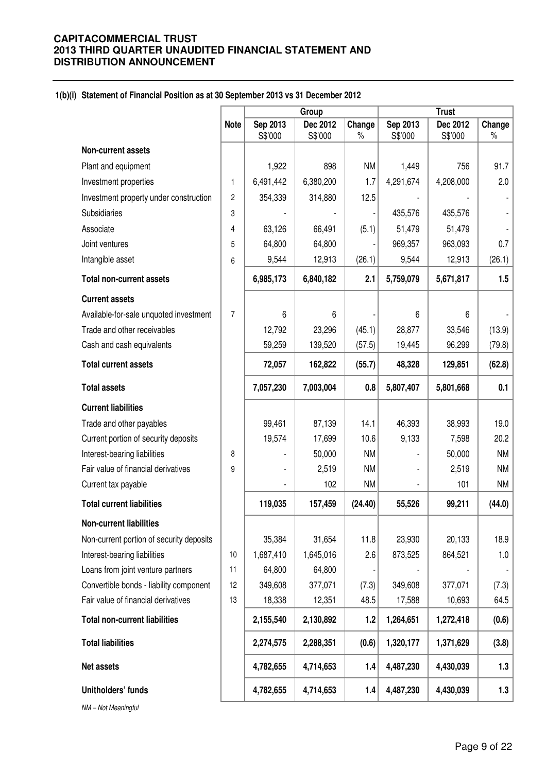# **1(b)(i) Statement of Financial Position as at 30 September 2013 vs 31 December 2012**

|                                          |                | Group               |                     |                | <b>Trust</b>        |                     |                |  |
|------------------------------------------|----------------|---------------------|---------------------|----------------|---------------------|---------------------|----------------|--|
|                                          | <b>Note</b>    | Sep 2013<br>S\$'000 | Dec 2012<br>S\$'000 | Change<br>$\%$ | Sep 2013<br>S\$'000 | Dec 2012<br>S\$'000 | Change<br>$\%$ |  |
| <b>Non-current assets</b>                |                |                     |                     |                |                     |                     |                |  |
| Plant and equipment                      |                | 1,922               | 898                 | <b>NM</b>      | 1,449               | 756                 | 91.7           |  |
| Investment properties                    | 1              | 6,491,442           | 6,380,200           | 1.7            | 4,291,674           | 4,208,000           | 2.0            |  |
| Investment property under construction   | 2              | 354,339             | 314,880             | 12.5           |                     |                     |                |  |
| <b>Subsidiaries</b>                      | 3              |                     |                     |                | 435,576             | 435,576             |                |  |
| Associate                                | 4              | 63,126              | 66,491              | (5.1)          | 51,479              | 51,479              |                |  |
| Joint ventures                           | 5              | 64,800              | 64,800              |                | 969,357             | 963,093             | 0.7            |  |
| Intangible asset                         | 6              | 9,544               | 12,913              | (26.1)         | 9,544               | 12,913              | (26.1)         |  |
| <b>Total non-current assets</b>          |                | 6,985,173           | 6,840,182           | 2.1            | 5,759,079           | 5,671,817           | 1.5            |  |
| <b>Current assets</b>                    |                |                     |                     |                |                     |                     |                |  |
| Available-for-sale unquoted investment   | $\overline{7}$ | 6                   | 6                   |                | 6                   | 6                   |                |  |
| Trade and other receivables              |                | 12,792              | 23,296              | (45.1)         | 28,877              | 33,546              | (13.9)         |  |
| Cash and cash equivalents                |                | 59,259              | 139,520             | (57.5)         | 19,445              | 96,299              | (79.8)         |  |
| <b>Total current assets</b>              |                | 72,057              | 162,822             | (55.7)         | 48,328              | 129,851             | (62.8)         |  |
| <b>Total assets</b>                      |                | 7,057,230           | 7,003,004           | 0.8            | 5,807,407           | 5,801,668           | 0.1            |  |
| <b>Current liabilities</b>               |                |                     |                     |                |                     |                     |                |  |
| Trade and other payables                 |                | 99,461              | 87,139              | 14.1           | 46,393              | 38,993              | 19.0           |  |
| Current portion of security deposits     |                | 19,574              | 17,699              | 10.6           | 9,133               | 7,598               | 20.2           |  |
| Interest-bearing liabilities             | 8              |                     | 50,000              | <b>NM</b>      |                     | 50,000              | <b>NM</b>      |  |
| Fair value of financial derivatives      | 9              |                     | 2,519               | <b>NM</b>      |                     | 2,519               | <b>NM</b>      |  |
| Current tax payable                      |                |                     | 102                 | <b>NM</b>      | ä,                  | 101                 | NM             |  |
| <b>Total current liabilities</b>         |                | 119,035             | 157,459             | (24.40)        | 55,526              | 99,211              | (44.0)         |  |
| <b>Non-current liabilities</b>           |                |                     |                     |                |                     |                     |                |  |
| Non-current portion of security deposits |                | 35,384              | 31,654              | 11.8           | 23,930              | 20,133              | 18.9           |  |
| Interest-bearing liabilities             | 10             | 1,687,410           | 1,645,016           | 2.6            | 873,525             | 864,521             | 1.0            |  |
| Loans from joint venture partners        | 11             | 64,800              | 64,800              |                |                     |                     |                |  |
| Convertible bonds - liability component  | 12             | 349,608             | 377,071             | (7.3)          | 349,608             | 377,071             | (7.3)          |  |
| Fair value of financial derivatives      | 13             | 18,338              | 12,351              | 48.5           | 17,588              | 10,693              | 64.5           |  |
| <b>Total non-current liabilities</b>     |                | 2,155,540           | 2,130,892           | 1.2            | 1,264,651           | 1,272,418           | (0.6)          |  |
| <b>Total liabilities</b>                 |                | 2,274,575           | 2,288,351           | (0.6)          | 1,320,177           | 1,371,629           | (3.8)          |  |
| Net assets                               |                | 4,782,655           | 4,714,653           | 1.4            | 4,487,230           | 4,430,039           | 1.3            |  |
| Unitholders' funds                       |                | 4,782,655           | 4,714,653           | 1.4            | 4,487,230           | 4,430,039           | 1.3            |  |
| NM-Not Meaningful                        |                |                     |                     |                |                     |                     |                |  |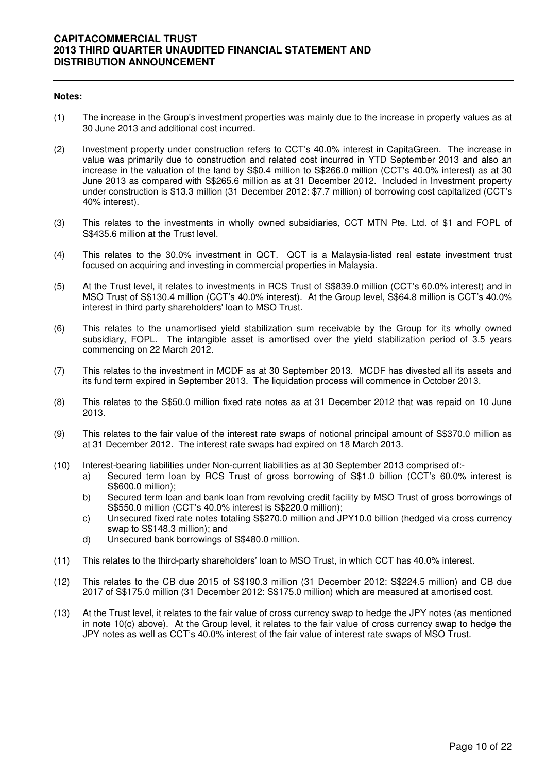#### **Notes:**

- (1) The increase in the Group's investment properties was mainly due to the increase in property values as at 30 June 2013 and additional cost incurred.
- (2) Investment property under construction refers to CCT's 40.0% interest in CapitaGreen. The increase in value was primarily due to construction and related cost incurred in YTD September 2013 and also an increase in the valuation of the land by S\$0.4 million to S\$266.0 million (CCT's 40.0% interest) as at 30 June 2013 as compared with S\$265.6 million as at 31 December 2012. Included in Investment property under construction is \$13.3 million (31 December 2012: \$7.7 million) of borrowing cost capitalized (CCT's 40% interest).
- (3) This relates to the investments in wholly owned subsidiaries, CCT MTN Pte. Ltd. of \$1 and FOPL of S\$435.6 million at the Trust level.
- (4) This relates to the 30.0% investment in QCT. QCT is a Malaysia-listed real estate investment trust focused on acquiring and investing in commercial properties in Malaysia.
- (5) At the Trust level, it relates to investments in RCS Trust of S\$839.0 million (CCT's 60.0% interest) and in MSO Trust of S\$130.4 million (CCT's 40.0% interest). At the Group level, S\$64.8 million is CCT's 40.0% interest in third party shareholders' loan to MSO Trust.
- (6) This relates to the unamortised yield stabilization sum receivable by the Group for its wholly owned subsidiary, FOPL. The intangible asset is amortised over the yield stabilization period of 3.5 years commencing on 22 March 2012.
- (7) This relates to the investment in MCDF as at 30 September 2013. MCDF has divested all its assets and its fund term expired in September 2013. The liquidation process will commence in October 2013.
- (8) This relates to the S\$50.0 million fixed rate notes as at 31 December 2012 that was repaid on 10 June 2013.
- (9) This relates to the fair value of the interest rate swaps of notional principal amount of S\$370.0 million as at 31 December 2012. The interest rate swaps had expired on 18 March 2013.
- (10) Interest-bearing liabilities under Non-current liabilities as at 30 September 2013 comprised of:
	- a) Secured term loan by RCS Trust of gross borrowing of S\$1.0 billion (CCT's 60.0% interest is S\$600.0 million);
	- b) Secured term loan and bank loan from revolving credit facility by MSO Trust of gross borrowings of S\$550.0 million (CCT's 40.0% interest is S\$220.0 million);
	- c) Unsecured fixed rate notes totaling S\$270.0 million and JPY10.0 billion (hedged via cross currency swap to S\$148.3 million); and
	- d) Unsecured bank borrowings of S\$480.0 million.
- (11) This relates to the third-party shareholders' loan to MSO Trust, in which CCT has 40.0% interest.
- (12) This relates to the CB due 2015 of S\$190.3 million (31 December 2012: S\$224.5 million) and CB due 2017 of S\$175.0 million (31 December 2012: S\$175.0 million) which are measured at amortised cost.
- (13) At the Trust level, it relates to the fair value of cross currency swap to hedge the JPY notes (as mentioned in note 10(c) above). At the Group level, it relates to the fair value of cross currency swap to hedge the JPY notes as well as CCT's 40.0% interest of the fair value of interest rate swaps of MSO Trust.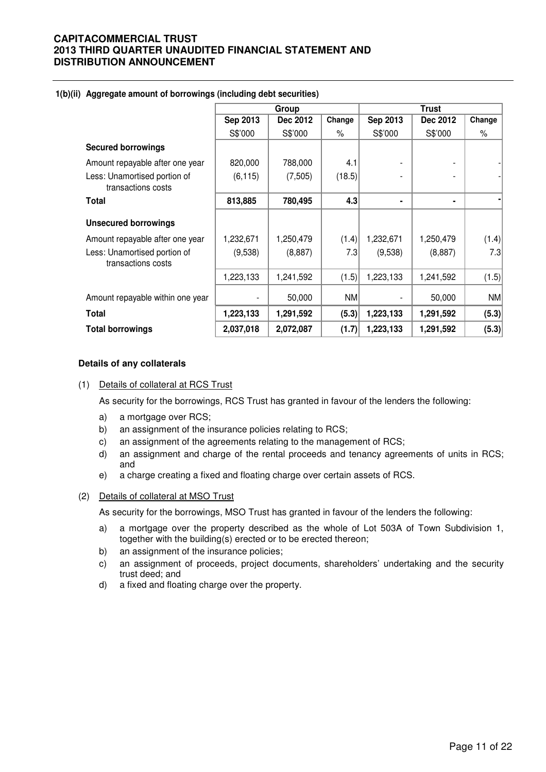|                                                    |           | Group     |        |                 | Trust     |        |
|----------------------------------------------------|-----------|-----------|--------|-----------------|-----------|--------|
|                                                    | Sep 2013  | Dec 2012  | Change | <b>Sep 2013</b> | Dec 2012  | Change |
|                                                    | S\$'000   | S\$'000   | $\%$   | S\$'000         | S\$'000   | $\%$   |
| <b>Secured borrowings</b>                          |           |           |        |                 |           |        |
| Amount repayable after one year                    | 820,000   | 788,000   | 4.1    |                 |           |        |
| Less: Unamortised portion of<br>transactions costs | (6, 115)  | (7,505)   | (18.5) |                 |           |        |
| <b>Total</b>                                       | 813,885   | 780,495   | 4.3    |                 | ۰         |        |
| <b>Unsecured borrowings</b>                        |           |           |        |                 |           |        |
| Amount repayable after one year                    | 1,232,671 | 1,250,479 | (1.4)  | 1,232,671       | 1,250,479 | (1.4)  |
| Less: Unamortised portion of<br>transactions costs | (9,538)   | (8,887)   | 7.3    | (9,538)         | (8,887)   | 7.3    |
|                                                    | 1,223,133 | 1,241,592 | (1.5)  | 1,223,133       | 1,241,592 | (1.5)  |
| Amount repayable within one year                   |           | 50,000    | NM     |                 | 50,000    | NM     |
| <b>Total</b>                                       | 1,223,133 | 1,291,592 | (5.3)  | 1,223,133       | 1,291,592 | (5.3)  |
| <b>Total borrowings</b>                            | 2,037,018 | 2,072,087 | (1.7)  | 1,223,133       | 1,291,592 | (5.3)  |

### **1(b)(ii) Aggregate amount of borrowings (including debt securities)**

#### **Details of any collaterals**

#### (1) Details of collateral at RCS Trust

As security for the borrowings, RCS Trust has granted in favour of the lenders the following:

- a) a mortgage over RCS;
- b) an assignment of the insurance policies relating to RCS;
- c) an assignment of the agreements relating to the management of RCS;
- d) an assignment and charge of the rental proceeds and tenancy agreements of units in RCS; and
- e) a charge creating a fixed and floating charge over certain assets of RCS.

### (2) Details of collateral at MSO Trust

As security for the borrowings, MSO Trust has granted in favour of the lenders the following:

- a) a mortgage over the property described as the whole of Lot 503A of Town Subdivision 1, together with the building(s) erected or to be erected thereon;
- b) an assignment of the insurance policies;
- c) an assignment of proceeds, project documents, shareholders' undertaking and the security trust deed; and
- d) a fixed and floating charge over the property.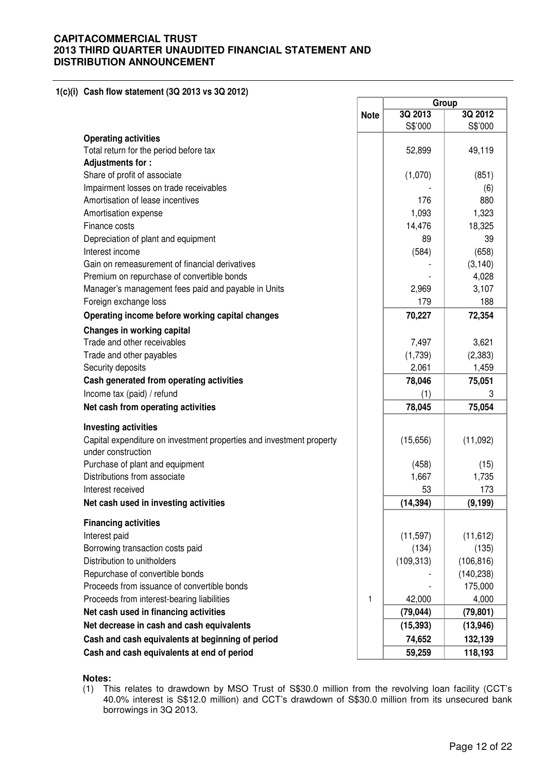**1(c)(i) Cash flow statement (3Q 2013 vs 3Q 2012)** 

|                                                                      |             |            | Group      |
|----------------------------------------------------------------------|-------------|------------|------------|
|                                                                      | <b>Note</b> | 3Q 2013    | 3Q 2012    |
|                                                                      |             | S\$'000    | S\$'000    |
| <b>Operating activities</b>                                          |             |            |            |
| Total return for the period before tax                               |             | 52,899     | 49,119     |
| Adjustments for:                                                     |             |            |            |
| Share of profit of associate                                         |             | (1,070)    | (851)      |
| Impairment losses on trade receivables                               |             |            | (6)        |
| Amortisation of lease incentives                                     |             | 176        | 880        |
| Amortisation expense                                                 |             | 1,093      | 1,323      |
| Finance costs                                                        |             | 14,476     | 18,325     |
| Depreciation of plant and equipment                                  |             | 89         | 39         |
| Interest income                                                      |             | (584)      | (658)      |
| Gain on remeasurement of financial derivatives                       |             |            | (3, 140)   |
| Premium on repurchase of convertible bonds                           |             |            | 4,028      |
| Manager's management fees paid and payable in Units                  |             | 2,969      | 3,107      |
| Foreign exchange loss                                                |             | 179        | 188        |
| Operating income before working capital changes                      |             | 70,227     | 72,354     |
| Changes in working capital                                           |             |            |            |
| Trade and other receivables                                          |             | 7,497      | 3,621      |
| Trade and other payables                                             |             | (1,739)    | (2, 383)   |
| Security deposits                                                    |             | 2,061      | 1,459      |
| Cash generated from operating activities                             |             | 78,046     | 75,051     |
| Income tax (paid) / refund                                           |             | (1)        |            |
| Net cash from operating activities                                   |             | 78,045     | 75,054     |
| <b>Investing activities</b>                                          |             |            |            |
| Capital expenditure on investment properties and investment property |             | (15,656)   | (11,092)   |
| under construction                                                   |             |            |            |
| Purchase of plant and equipment                                      |             | (458)      | (15)       |
| Distributions from associate                                         |             | 1,667      | 1,735      |
| Interest received                                                    |             | 53         | 173        |
| Net cash used in investing activities                                |             | (14, 394)  | (9, 199)   |
| <b>Financing activities</b>                                          |             |            |            |
| Interest paid                                                        |             | (11, 597)  | (11, 612)  |
| Borrowing transaction costs paid                                     |             | (134)      | (135)      |
| Distribution to unitholders                                          |             | (109, 313) | (106, 816) |
| Repurchase of convertible bonds                                      |             |            | (140, 238) |
| Proceeds from issuance of convertible bonds                          |             |            | 175,000    |
| Proceeds from interest-bearing liabilities                           | 1           | 42,000     | 4,000      |
| Net cash used in financing activities                                |             | (79, 044)  | (79, 801)  |
| Net decrease in cash and cash equivalents                            |             | (15, 393)  | (13, 946)  |
| Cash and cash equivalents at beginning of period                     |             | 74,652     | 132,139    |
| Cash and cash equivalents at end of period                           |             | 59,259     | 118,193    |
|                                                                      |             |            |            |

#### **Notes:**

(1) This relates to drawdown by MSO Trust of S\$30.0 million from the revolving loan facility (CCT's 40.0% interest is S\$12.0 million) and CCT's drawdown of S\$30.0 million from its unsecured bank borrowings in 3Q 2013.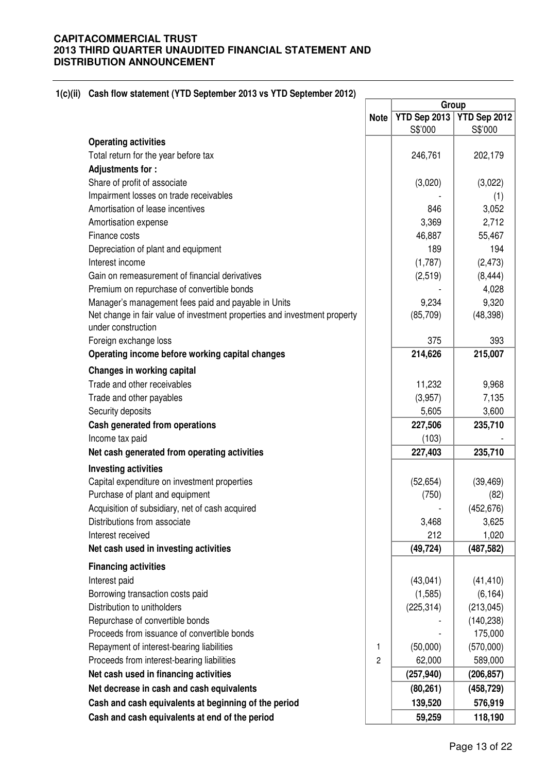|                                                                           |                | Group        |              |
|---------------------------------------------------------------------------|----------------|--------------|--------------|
|                                                                           | <b>Note</b>    | YTD Sep 2013 | YTD Sep 2012 |
|                                                                           |                | S\$'000      | S\$'000      |
| <b>Operating activities</b>                                               |                |              |              |
| Total return for the year before tax                                      |                | 246,761      | 202,179      |
| Adjustments for:                                                          |                |              |              |
| Share of profit of associate                                              |                | (3,020)      | (3,022)      |
| Impairment losses on trade receivables                                    |                |              | (1)          |
| Amortisation of lease incentives                                          |                | 846          | 3,052        |
| Amortisation expense                                                      |                | 3,369        | 2,712        |
| Finance costs                                                             |                | 46,887       | 55,467       |
| Depreciation of plant and equipment                                       |                | 189          | 194          |
| Interest income                                                           |                | (1,787)      | (2, 473)     |
| Gain on remeasurement of financial derivatives                            |                | (2,519)      | (8, 444)     |
| Premium on repurchase of convertible bonds                                |                |              | 4,028        |
| Manager's management fees paid and payable in Units                       |                | 9,234        | 9,320        |
| Net change in fair value of investment properties and investment property |                | (85, 709)    | (48, 398)    |
| under construction                                                        |                |              |              |
| Foreign exchange loss                                                     |                | 375          | 393          |
| Operating income before working capital changes                           |                | 214,626      | 215,007      |
| Changes in working capital                                                |                |              |              |
| Trade and other receivables                                               |                | 11,232       | 9,968        |
| Trade and other payables                                                  |                | (3,957)      | 7,135        |
| Security deposits                                                         |                | 5,605        | 3,600        |
| Cash generated from operations                                            |                | 227,506      | 235,710      |
| Income tax paid                                                           |                | (103)        |              |
| Net cash generated from operating activities                              |                | 227,403      | 235,710      |
| <b>Investing activities</b>                                               |                |              |              |
| Capital expenditure on investment properties                              |                | (52, 654)    | (39, 469)    |
| Purchase of plant and equipment                                           |                | (750)        | (82)         |
| Acquisition of subsidiary, net of cash acquired                           |                |              | (452, 676)   |
| Distributions from associate                                              |                | 3,468        | 3,625        |
| Interest received                                                         |                | 212          | 1,020        |
| Net cash used in investing activities                                     |                | (49, 724)    | (487, 582)   |
| <b>Financing activities</b>                                               |                |              |              |
| Interest paid                                                             |                | (43, 041)    | (41, 410)    |
| Borrowing transaction costs paid                                          |                | (1, 585)     | (6, 164)     |
| Distribution to unitholders                                               |                | (225, 314)   | (213, 045)   |
| Repurchase of convertible bonds                                           |                |              | (140, 238)   |
| Proceeds from issuance of convertible bonds                               |                |              | 175,000      |
| Repayment of interest-bearing liabilities                                 | $\mathbf{1}$   | (50,000)     | (570,000)    |
| Proceeds from interest-bearing liabilities                                | $\overline{c}$ | 62,000       | 589,000      |
| Net cash used in financing activities                                     |                | (257, 940)   | (206, 857)   |
| Net decrease in cash and cash equivalents                                 |                | (80, 261)    | (458, 729)   |
| Cash and cash equivalents at beginning of the period                      |                | 139,520      | 576,919      |
| Cash and cash equivalents at end of the period                            |                | 59,259       | 118,190      |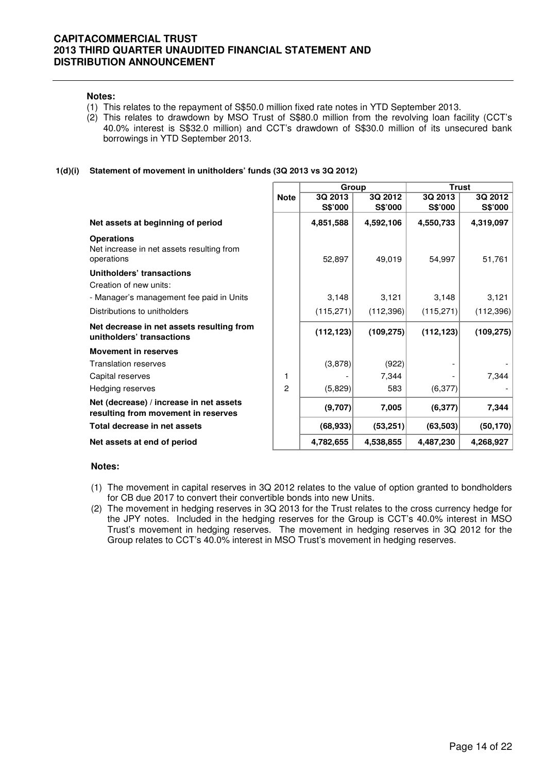#### **Notes:**

- (1) This relates to the repayment of S\$50.0 million fixed rate notes in YTD September 2013.
- (2) This relates to drawdown by MSO Trust of S\$80.0 million from the revolving loan facility (CCT's 40.0% interest is S\$32.0 million) and CCT's drawdown of S\$30.0 million of its unsecured bank borrowings in YTD September 2013.

#### **1(d)(i) Statement of movement in unitholders' funds (3Q 2013 vs 3Q 2012)**

|                                                                                |                | Group      |                | <b>Trust</b> |                |  |
|--------------------------------------------------------------------------------|----------------|------------|----------------|--------------|----------------|--|
|                                                                                | <b>Note</b>    | 3Q 2013    | 3Q 2012        | 3Q 2013      | 3Q 2012        |  |
|                                                                                |                | S\$'000    | <b>S\$'000</b> | S\$'000      | <b>S\$'000</b> |  |
| Net assets at beginning of period                                              |                | 4,851,588  | 4,592,106      | 4,550,733    | 4,319,097      |  |
| <b>Operations</b><br>Net increase in net assets resulting from<br>operations   |                | 52,897     | 49,019         | 54,997       | 51,761         |  |
| Unitholders' transactions                                                      |                |            |                |              |                |  |
| Creation of new units:                                                         |                |            |                |              |                |  |
| - Manager's management fee paid in Units                                       |                | 3,148      | 3,121          | 3,148        | 3,121          |  |
| Distributions to unitholders                                                   |                | (115,271)  | (112, 396)     | (115,271)    | (112, 396)     |  |
| Net decrease in net assets resulting from<br>unitholders' transactions         |                | (112, 123) | (109, 275)     | (112, 123)   | (109, 275)     |  |
| <b>Movement in reserves</b>                                                    |                |            |                |              |                |  |
| <b>Translation reserves</b>                                                    |                | (3,878)    | (922)          |              |                |  |
| Capital reserves                                                               | 1              |            | 7,344          |              | 7,344          |  |
| Hedging reserves                                                               | $\overline{c}$ | (5,829)    | 583            | (6, 377)     |                |  |
| Net (decrease) / increase in net assets<br>resulting from movement in reserves |                | (9,707)    | 7,005          | (6, 377)     | 7,344          |  |
| Total decrease in net assets                                                   |                | (68, 933)  | (53, 251)      | (63, 503)    | (50, 170)      |  |
| Net assets at end of period                                                    |                | 4,782,655  | 4,538,855      | 4,487,230    | 4,268,927      |  |

### **Notes:**

- (1) The movement in capital reserves in 3Q 2012 relates to the value of option granted to bondholders for CB due 2017 to convert their convertible bonds into new Units.
- (2) The movement in hedging reserves in 3Q 2013 for the Trust relates to the cross currency hedge for the JPY notes. Included in the hedging reserves for the Group is CCT's 40.0% interest in MSO Trust's movement in hedging reserves. The movement in hedging reserves in 3Q 2012 for the Group relates to CCT's 40.0% interest in MSO Trust's movement in hedging reserves.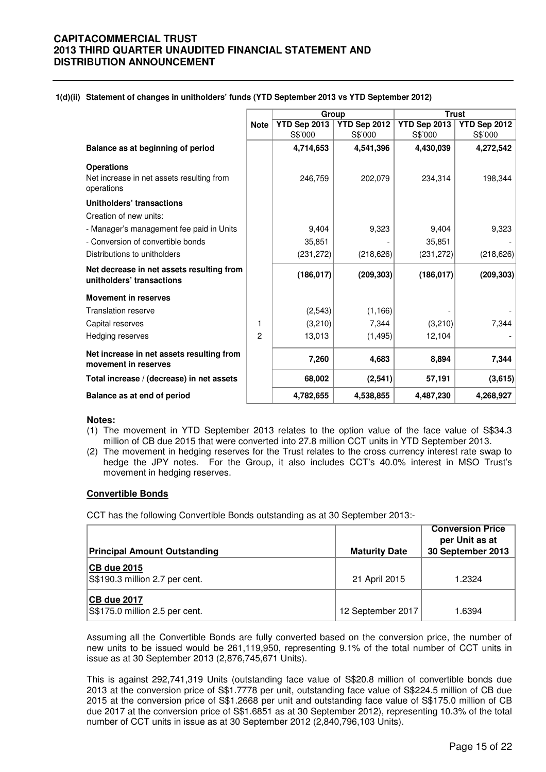| 1(d)(ii) Statement of changes in unitholders' funds (YTD September 2013 vs YTD September 2012) |  |
|------------------------------------------------------------------------------------------------|--|
|------------------------------------------------------------------------------------------------|--|

|                                                                              |                | Group        |              | <b>Trust</b> |              |
|------------------------------------------------------------------------------|----------------|--------------|--------------|--------------|--------------|
|                                                                              | <b>Note</b>    | YTD Sep 2013 | YTD Sep 2012 | YTD Sep 2013 | YTD Sep 2012 |
|                                                                              |                | S\$'000      | S\$'000      | S\$'000      | S\$'000      |
| Balance as at beginning of period                                            |                | 4,714,653    | 4,541,396    | 4,430,039    | 4,272,542    |
| <b>Operations</b><br>Net increase in net assets resulting from<br>operations |                | 246,759      | 202,079      | 234,314      | 198,344      |
| Unitholders' transactions                                                    |                |              |              |              |              |
| Creation of new units:                                                       |                |              |              |              |              |
| - Manager's management fee paid in Units                                     |                | 9,404        | 9,323        | 9,404        | 9,323        |
| - Conversion of convertible bonds                                            |                | 35,851       |              | 35,851       |              |
| Distributions to unitholders                                                 |                | (231, 272)   | (218, 626)   | (231, 272)   | (218, 626)   |
| Net decrease in net assets resulting from<br>unitholders' transactions       |                | (186, 017)   | (209, 303)   | (186, 017)   | (209, 303)   |
| <b>Movement in reserves</b>                                                  |                |              |              |              |              |
| <b>Translation reserve</b>                                                   |                | (2,543)      | (1, 166)     |              |              |
| Capital reserves                                                             | 1              | (3,210)      | 7,344        | (3,210)      | 7,344        |
| Hedging reserves                                                             | $\overline{2}$ | 13,013       | (1, 495)     | 12,104       |              |
| Net increase in net assets resulting from<br>movement in reserves            |                | 7,260        | 4,683        | 8,894        | 7,344        |
| Total increase / (decrease) in net assets                                    |                | 68,002       | (2,541)      | 57,191       | (3,615)      |
| Balance as at end of period                                                  |                | 4,782,655    | 4,538,855    | 4,487,230    | 4,268,927    |

#### **Notes:**

- (1) The movement in YTD September 2013 relates to the option value of the face value of S\$34.3 million of CB due 2015 that were converted into 27.8 million CCT units in YTD September 2013.
- (2) The movement in hedging reserves for the Trust relates to the cross currency interest rate swap to hedge the JPY notes. For the Group, it also includes CCT's 40.0% interest in MSO Trust's movement in hedging reserves.

### **Convertible Bonds**

CCT has the following Convertible Bonds outstanding as at 30 September 2013:-

| <b>Principal Amount Outstanding</b>                  | <b>Maturity Date</b> | <b>Conversion Price</b><br>per Unit as at<br>30 September 2013 |
|------------------------------------------------------|----------------------|----------------------------------------------------------------|
| <b>CB due 2015</b><br>S\$190.3 million 2.7 per cent. | 21 April 2015        | 1.2324                                                         |
| <b>CB due 2017</b><br>S\$175.0 million 2.5 per cent. | 12 September 2017    | 1.6394                                                         |

Assuming all the Convertible Bonds are fully converted based on the conversion price, the number of new units to be issued would be 261,119,950, representing 9.1% of the total number of CCT units in issue as at 30 September 2013 (2,876,745,671 Units).

This is against 292,741,319 Units (outstanding face value of S\$20.8 million of convertible bonds due 2013 at the conversion price of S\$1.7778 per unit, outstanding face value of S\$224.5 million of CB due 2015 at the conversion price of S\$1.2668 per unit and outstanding face value of S\$175.0 million of CB due 2017 at the conversion price of S\$1.6851 as at 30 September 2012), representing 10.3% of the total number of CCT units in issue as at 30 September 2012 (2,840,796,103 Units).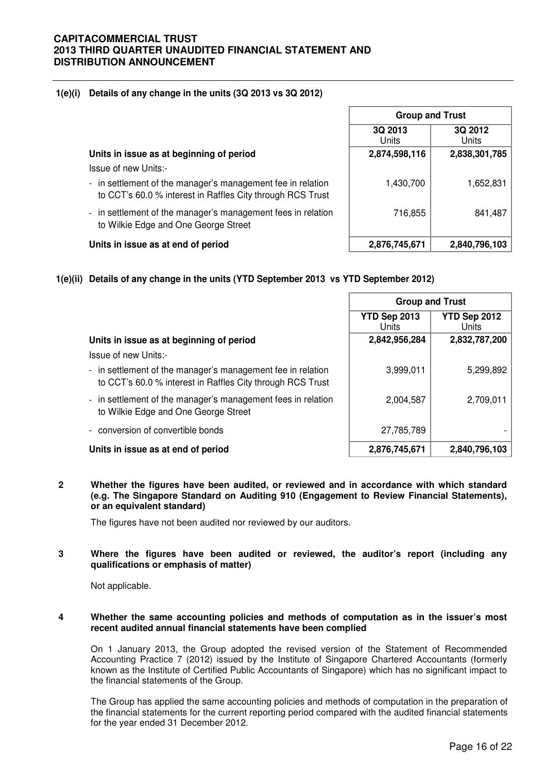### **1(e)(i) Details of any change in the units (3Q 2013 vs 3Q 2012)**

|                                                                                                                           | <b>Group and Trust</b> |                  |  |
|---------------------------------------------------------------------------------------------------------------------------|------------------------|------------------|--|
|                                                                                                                           | 3Q 2013<br>Units       | 3Q 2012<br>Units |  |
| Units in issue as at beginning of period                                                                                  | 2,874,598,116          | 2,838,301,785    |  |
| Issue of new Units:-                                                                                                      |                        |                  |  |
| - in settlement of the manager's management fee in relation<br>to CCT's 60.0 % interest in Raffles City through RCS Trust | 1,430,700              | 1,652,831        |  |
| - in settlement of the manager's management fees in relation<br>to Wilkie Edge and One George Street                      | 716,855                | 841,487          |  |
| Units in issue as at end of period                                                                                        | 2,876,745,671          | 2,840,796,103    |  |

**1(e)(ii) Details of any change in the units (YTD September 2013 vs YTD September 2012)**

|                                                                                                                           |                       | <b>Group and Trust</b> |
|---------------------------------------------------------------------------------------------------------------------------|-----------------------|------------------------|
|                                                                                                                           | YTD Sep 2013<br>Units | YTD Sep 2012<br>Units  |
| Units in issue as at beginning of period                                                                                  | 2,842,956,284         | 2,832,787,200          |
| Issue of new Units:-                                                                                                      |                       |                        |
| - in settlement of the manager's management fee in relation<br>to CCT's 60.0 % interest in Raffles City through RCS Trust | 3,999,011             | 5,299,892              |
| - in settlement of the manager's management fees in relation<br>to Wilkie Edge and One George Street                      | 2,004,587             | 2,709,011              |
| conversion of convertible bonds                                                                                           | 27,785,789            |                        |
| Units in issue as at end of period                                                                                        | 2,876,745,671         | 2,840,796,103          |

**2 Whether the figures have been audited, or reviewed and in accordance with which standard (e.g. The Singapore Standard on Auditing 910 (Engagement to Review Financial Statements), or an equivalent standard)** 

The figures have not been audited nor reviewed by our auditors.

### **3 Where the figures have been audited or reviewed, the auditor's report (including any qualifications or emphasis of matter)**

Not applicable.

#### **4 Whether the same accounting policies and methods of computation as in the issuer's most recent audited annual financial statements have been complied**

On 1 January 2013, the Group adopted the revised version of the Statement of Recommended Accounting Practice 7 (2012) issued by the Institute of Singapore Chartered Accountants (formerly known as the Institute of Certified Public Accountants of Singapore) which has no significant impact to the financial statements of the Group.

The Group has applied the same accounting policies and methods of computation in the preparation of the financial statements for the current reporting period compared with the audited financial statements for the year ended 31 December 2012.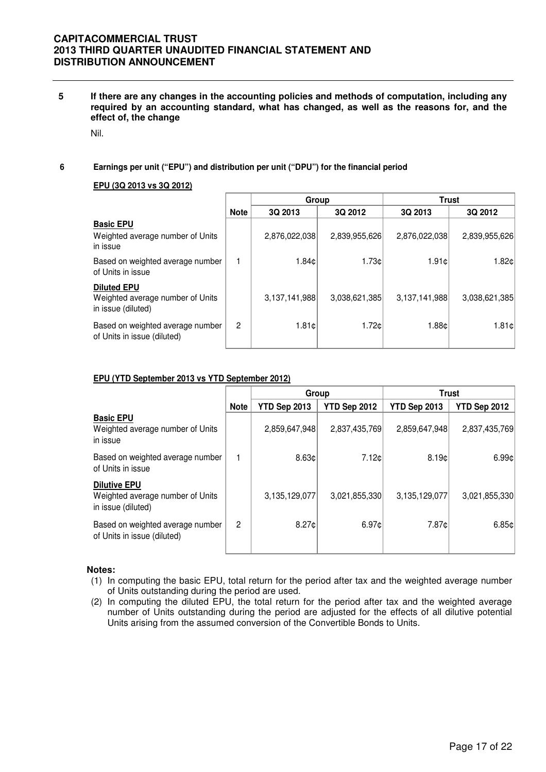**5 If there are any changes in the accounting policies and methods of computation, including any required by an accounting standard, what has changed, as well as the reasons for, and the effect of, the change** 

Nil.

### **6 Earnings per unit ("EPU") and distribution per unit ("DPU") for the financial period**

#### **EPU (3Q 2013 vs 3Q 2012)**

|                                                                              |                | Group           |               |               | <b>Trust</b>  |
|------------------------------------------------------------------------------|----------------|-----------------|---------------|---------------|---------------|
|                                                                              | <b>Note</b>    | 3Q 2013         | 3Q 2012       | 3Q 2013       | 3Q 2012       |
| <b>Basic EPU</b><br>Weighted average number of Units<br>in issue             |                | 2,876,022,038   | 2,839,955,626 | 2,876,022,038 | 2,839,955,626 |
| Based on weighted average number<br>of Units in issue                        |                | 1.84c           | 1.73c         | 1.91c         | 1.82c         |
| <b>Diluted EPU</b><br>Weighted average number of Units<br>in issue (diluted) |                | 3,137,141,988   | 3,038,621,385 | 3,137,141,988 | 3,038,621,385 |
| Based on weighted average number<br>of Units in issue (diluted)              | $\overline{2}$ | $1.81 \text{C}$ | 1.72c         | 1.88c         | 1.81c         |

### **EPU (YTD September 2013 vs YTD September 2012)**

|                                                                               |                | Group         |                   | <b>Trust</b>  |               |
|-------------------------------------------------------------------------------|----------------|---------------|-------------------|---------------|---------------|
|                                                                               | <b>Note</b>    | YTD Sep 2013  | YTD Sep 2012      | YTD Sep 2013  | YTD Sep 2012  |
| <b>Basic EPU</b><br>Weighted average number of Units<br>in issue              |                | 2,859,647,948 | 2,837,435,769     | 2,859,647,948 | 2,837,435,769 |
| Based on weighted average number<br>of Units in issue                         |                | 8.63c         | 7.12 <sub>c</sub> | 8.19c         | 6.99c         |
| <b>Dilutive EPU</b><br>Weighted average number of Units<br>in issue (diluted) |                | 3,135,129,077 | 3,021,855,330     | 3,135,129,077 | 3,021,855,330 |
| Based on weighted average number<br>of Units in issue (diluted)               | $\overline{2}$ | 8.27¢         | 6.97c             | 7.87¢         | 6.85c         |

#### **Notes:**

- (1) In computing the basic EPU, total return for the period after tax and the weighted average number of Units outstanding during the period are used.
- (2) In computing the diluted EPU, the total return for the period after tax and the weighted average number of Units outstanding during the period are adjusted for the effects of all dilutive potential Units arising from the assumed conversion of the Convertible Bonds to Units.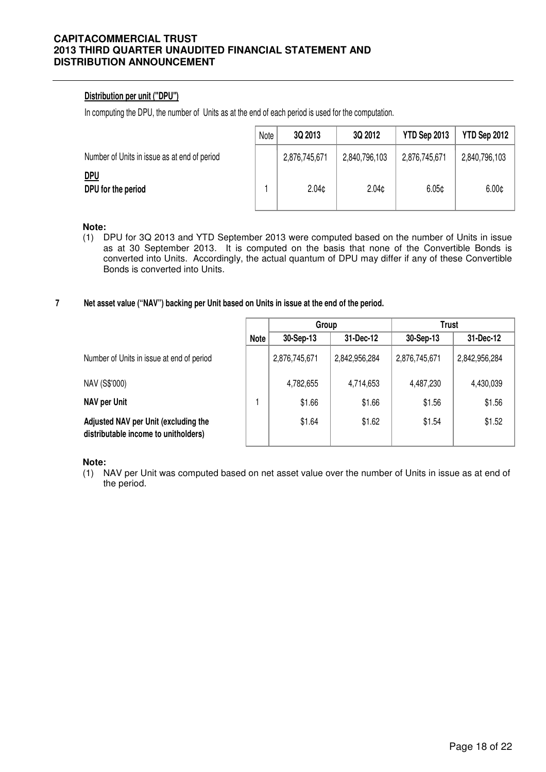# **Distribution per unit ("DPU")**

In computing the DPU, the number of Units as at the end of each period is used for the computation.

|                                              | Note | 3Q 2013           | 3Q 2012           | YTD Sep 2013      | YTD Sep 2012      |
|----------------------------------------------|------|-------------------|-------------------|-------------------|-------------------|
| Number of Units in issue as at end of period |      | 2,876,745,671     | 2,840,796,103     | 2,876,745,671     | 2,840,796,103     |
| <u>DPU</u><br>DPU for the period             |      | 2.04 <sub>c</sub> | 2.04 <sub>0</sub> | 6.05 <sub>¢</sub> | 6.00 <sub>¢</sub> |

#### **Note:**

- (1) DPU for 3Q 2013 and YTD September 2013 were computed based on the number of Units in issue as at 30 September 2013. It is computed on the basis that none of the Convertible Bonds is converted into Units. Accordingly, the actual quantum of DPU may differ if any of these Convertible Bonds is converted into Units.
- **7 Net asset value ("NAV") backing per Unit based on Units in issue at the end of the period.**

|                                                                              |             | Group         |               | <b>Trust</b>  |               |
|------------------------------------------------------------------------------|-------------|---------------|---------------|---------------|---------------|
|                                                                              | <b>Note</b> | 30-Sep-13     | 31-Dec-12     | $30-Sep-13$   | 31-Dec-12     |
| Number of Units in issue at end of period                                    |             | 2,876,745,671 | 2,842,956,284 | 2,876,745,671 | 2,842,956,284 |
| NAV (S\$'000)                                                                |             | 4,782,655     | 4,714,653     | 4,487,230     | 4,430,039     |
| <b>NAV per Unit</b>                                                          |             | \$1.66        | \$1.66        | \$1.56        | \$1.56        |
| Adjusted NAV per Unit (excluding the<br>distributable income to unitholders) |             | \$1.64        | \$1.62        | \$1.54        | \$1.52        |

**Note:**

(1) NAV per Unit was computed based on net asset value over the number of Units in issue as at end of the period.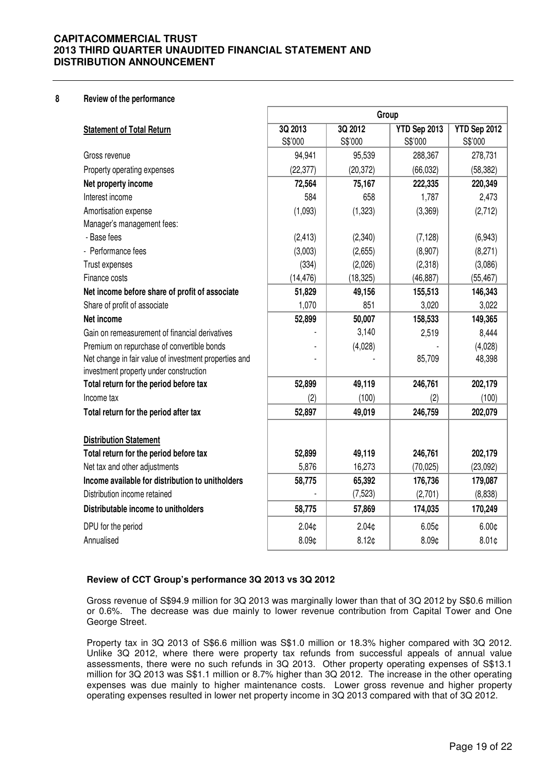#### **8 Review of the performance**

|                                                                                                 | Group             |                   |                   |                   |  |
|-------------------------------------------------------------------------------------------------|-------------------|-------------------|-------------------|-------------------|--|
| <b>Statement of Total Return</b>                                                                | 3Q 2013           | 3Q 2012           | YTD Sep 2013      | YTD Sep 2012      |  |
|                                                                                                 | S\$'000           | S\$'000           | S\$'000           | S\$'000           |  |
| Gross revenue                                                                                   | 94,941            | 95,539            | 288,367           | 278,731           |  |
| Property operating expenses                                                                     | (22, 377)         | (20, 372)         | (66, 032)         | (58, 382)         |  |
| Net property income                                                                             | 72,564            | 75,167            | 222,335           | 220,349           |  |
| Interest income                                                                                 | 584               | 658               | 1,787             | 2,473             |  |
| Amortisation expense                                                                            | (1,093)           | (1, 323)          | (3,369)           | (2,712)           |  |
| Manager's management fees:                                                                      |                   |                   |                   |                   |  |
| - Base fees                                                                                     | (2, 413)          | (2,340)           | (7, 128)          | (6,943)           |  |
| - Performance fees                                                                              | (3,003)           | (2,655)           | (8,907)           | (8,271)           |  |
| Trust expenses                                                                                  | (334)             | (2,026)           | (2,318)           | (3,086)           |  |
| Finance costs                                                                                   | (14, 476)         | (18, 325)         | (46, 887)         | (55, 467)         |  |
| Net income before share of profit of associate                                                  | 51,829            | 49,156            | 155,513           | 146,343           |  |
| Share of profit of associate                                                                    | 1,070             | 851               | 3,020             | 3,022             |  |
| Net income                                                                                      | 52,899            | 50,007            | 158,533           | 149,365           |  |
| Gain on remeasurement of financial derivatives                                                  |                   | 3,140             | 2,519             | 8,444             |  |
| Premium on repurchase of convertible bonds                                                      |                   | (4,028)           |                   | (4,028)           |  |
| Net change in fair value of investment properties and<br>investment property under construction |                   |                   | 85,709            | 48,398            |  |
| Total return for the period before tax                                                          | 52,899            | 49,119            | 246,761           | 202,179           |  |
| Income tax                                                                                      | (2)               | (100)             | (2)               | (100)             |  |
| Total return for the period after tax                                                           | 52,897            | 49,019            | 246,759           | 202,079           |  |
| <b>Distribution Statement</b>                                                                   |                   |                   |                   |                   |  |
| Total return for the period before tax                                                          | 52,899            | 49,119            | 246,761           | 202,179           |  |
| Net tax and other adjustments                                                                   | 5,876             | 16,273            | (70, 025)         | (23,092)          |  |
| Income available for distribution to unitholders                                                | 58,775            | 65,392            | 176,736           | 179,087           |  |
| Distribution income retained                                                                    |                   | (7, 523)          | (2,701)           | (8,838)           |  |
| Distributable income to unitholders                                                             | 58,775            | 57,869            | 174,035           | 170,249           |  |
| DPU for the period                                                                              | 2.04 <sub>0</sub> | 2.04 <sub>c</sub> | 6.05 <sub>¢</sub> | 6.00 <sub>¢</sub> |  |
| Annualised                                                                                      | 8.09¢             | 8.12 <sub>0</sub> | 8.09¢             | 8.01 <sub>0</sub> |  |

### **Review of CCT Group's performance 3Q 2013 vs 3Q 2012**

 Gross revenue of S\$94.9 million for 3Q 2013 was marginally lower than that of 3Q 2012 by S\$0.6 million or 0.6%. The decrease was due mainly to lower revenue contribution from Capital Tower and One George Street.

Property tax in 3Q 2013 of S\$6.6 million was S\$1.0 million or 18.3% higher compared with 3Q 2012. Unlike 3Q 2012, where there were property tax refunds from successful appeals of annual value assessments, there were no such refunds in 3Q 2013. Other property operating expenses of S\$13.1 million for 3Q 2013 was S\$1.1 million or 8.7% higher than 3Q 2012. The increase in the other operating expenses was due mainly to higher maintenance costs. Lower gross revenue and higher property operating expenses resulted in lower net property income in 3Q 2013 compared with that of 3Q 2012.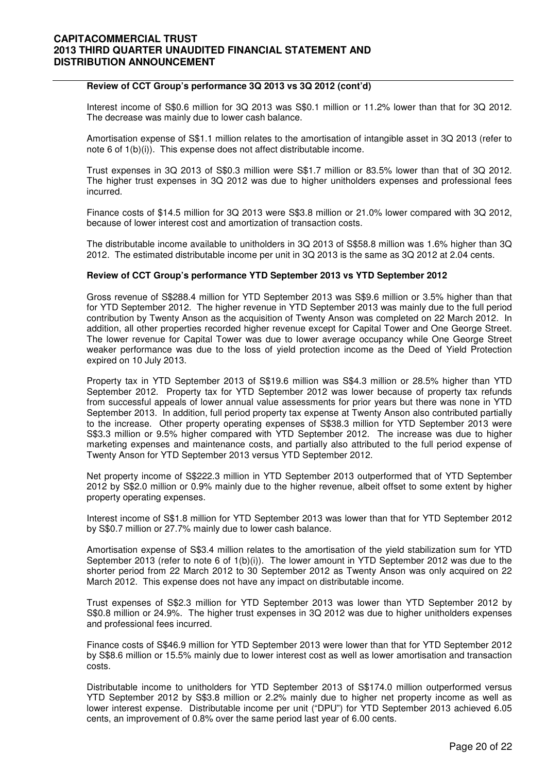### **Review of CCT Group's performance 3Q 2013 vs 3Q 2012 (cont'd)**

Interest income of S\$0.6 million for 3Q 2013 was S\$0.1 million or 11.2% lower than that for 3Q 2012. The decrease was mainly due to lower cash balance.

Amortisation expense of S\$1.1 million relates to the amortisation of intangible asset in 3Q 2013 (refer to note 6 of 1(b)(i)). This expense does not affect distributable income.

Trust expenses in 3Q 2013 of S\$0.3 million were S\$1.7 million or 83.5% lower than that of 3Q 2012. The higher trust expenses in 3Q 2012 was due to higher unitholders expenses and professional fees incurred.

Finance costs of \$14.5 million for 3Q 2013 were S\$3.8 million or 21.0% lower compared with 3Q 2012, because of lower interest cost and amortization of transaction costs.

The distributable income available to unitholders in 3Q 2013 of S\$58.8 million was 1.6% higher than 3Q 2012. The estimated distributable income per unit in 3Q 2013 is the same as 3Q 2012 at 2.04 cents.

#### **Review of CCT Group's performance YTD September 2013 vs YTD September 2012**

Gross revenue of S\$288.4 million for YTD September 2013 was S\$9.6 million or 3.5% higher than that for YTD September 2012. The higher revenue in YTD September 2013 was mainly due to the full period contribution by Twenty Anson as the acquisition of Twenty Anson was completed on 22 March 2012. In addition, all other properties recorded higher revenue except for Capital Tower and One George Street. The lower revenue for Capital Tower was due to lower average occupancy while One George Street weaker performance was due to the loss of yield protection income as the Deed of Yield Protection expired on 10 July 2013.

Property tax in YTD September 2013 of S\$19.6 million was S\$4.3 million or 28.5% higher than YTD September 2012. Property tax for YTD September 2012 was lower because of property tax refunds from successful appeals of lower annual value assessments for prior years but there was none in YTD September 2013. In addition, full period property tax expense at Twenty Anson also contributed partially to the increase. Other property operating expenses of S\$38.3 million for YTD September 2013 were S\$3.3 million or 9.5% higher compared with YTD September 2012. The increase was due to higher marketing expenses and maintenance costs, and partially also attributed to the full period expense of Twenty Anson for YTD September 2013 versus YTD September 2012.

Net property income of S\$222.3 million in YTD September 2013 outperformed that of YTD September 2012 by S\$2.0 million or 0.9% mainly due to the higher revenue, albeit offset to some extent by higher property operating expenses.

Interest income of S\$1.8 million for YTD September 2013 was lower than that for YTD September 2012 by S\$0.7 million or 27.7% mainly due to lower cash balance.

Amortisation expense of S\$3.4 million relates to the amortisation of the yield stabilization sum for YTD September 2013 (refer to note 6 of 1(b)(i)). The lower amount in YTD September 2012 was due to the shorter period from 22 March 2012 to 30 September 2012 as Twenty Anson was only acquired on 22 March 2012. This expense does not have any impact on distributable income.

Trust expenses of S\$2.3 million for YTD September 2013 was lower than YTD September 2012 by S\$0.8 million or 24.9%. The higher trust expenses in 3Q 2012 was due to higher unitholders expenses and professional fees incurred.

Finance costs of S\$46.9 million for YTD September 2013 were lower than that for YTD September 2012 by S\$8.6 million or 15.5% mainly due to lower interest cost as well as lower amortisation and transaction costs.

Distributable income to unitholders for YTD September 2013 of S\$174.0 million outperformed versus YTD September 2012 by S\$3.8 million or 2.2% mainly due to higher net property income as well as lower interest expense. Distributable income per unit ("DPU") for YTD September 2013 achieved 6.05 cents, an improvement of 0.8% over the same period last year of 6.00 cents.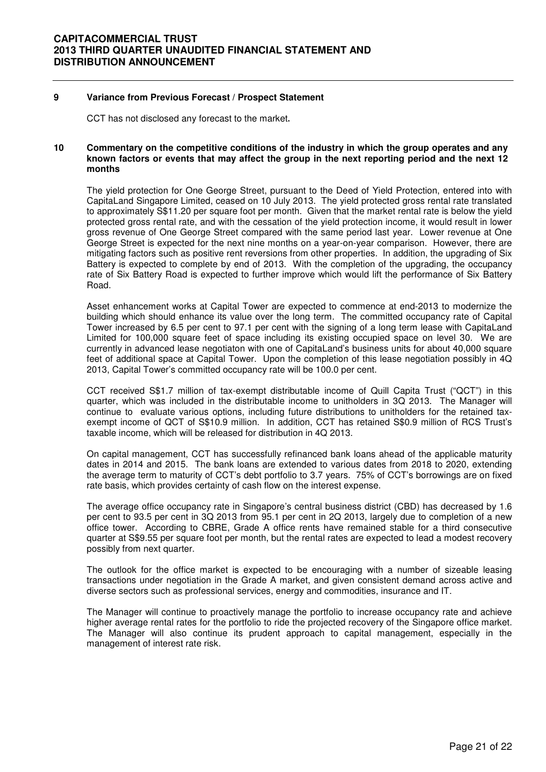### **9 Variance from Previous Forecast / Prospect Statement**

CCT has not disclosed any forecast to the market**.** 

### **10 Commentary on the competitive conditions of the industry in which the group operates and any known factors or events that may affect the group in the next reporting period and the next 12 months**

The yield protection for One George Street, pursuant to the Deed of Yield Protection, entered into with CapitaLand Singapore Limited, ceased on 10 July 2013. The yield protected gross rental rate translated to approximately S\$11.20 per square foot per month. Given that the market rental rate is below the yield protected gross rental rate, and with the cessation of the yield protection income, it would result in lower gross revenue of One George Street compared with the same period last year. Lower revenue at One George Street is expected for the next nine months on a year-on-year comparison. However, there are mitigating factors such as positive rent reversions from other properties. In addition, the upgrading of Six Battery is expected to complete by end of 2013. With the completion of the upgrading, the occupancy rate of Six Battery Road is expected to further improve which would lift the performance of Six Battery Road.

Asset enhancement works at Capital Tower are expected to commence at end-2013 to modernize the building which should enhance its value over the long term. The committed occupancy rate of Capital Tower increased by 6.5 per cent to 97.1 per cent with the signing of a long term lease with CapitaLand Limited for 100,000 square feet of space including its existing occupied space on level 30. We are currently in advanced lease negotiaton with one of CapitaLand's business units for about 40,000 square feet of additional space at Capital Tower. Upon the completion of this lease negotiation possibly in 4Q 2013, Capital Tower's committed occupancy rate will be 100.0 per cent.

CCT received S\$1.7 million of tax-exempt distributable income of Quill Capita Trust ("QCT") in this quarter, which was included in the distributable income to unitholders in 3Q 2013. The Manager will continue to evaluate various options, including future distributions to unitholders for the retained taxexempt income of QCT of S\$10.9 million. In addition, CCT has retained S\$0.9 million of RCS Trust's taxable income, which will be released for distribution in 4Q 2013.

On capital management, CCT has successfully refinanced bank loans ahead of the applicable maturity dates in 2014 and 2015. The bank loans are extended to various dates from 2018 to 2020, extending the average term to maturity of CCT's debt portfolio to 3.7 years. 75% of CCT's borrowings are on fixed rate basis, which provides certainty of cash flow on the interest expense.

The average office occupancy rate in Singapore's central business district (CBD) has decreased by 1.6 per cent to 93.5 per cent in 3Q 2013 from 95.1 per cent in 2Q 2013, largely due to completion of a new office tower. According to CBRE, Grade A office rents have remained stable for a third consecutive quarter at S\$9.55 per square foot per month, but the rental rates are expected to lead a modest recovery possibly from next quarter.

The outlook for the office market is expected to be encouraging with a number of sizeable leasing transactions under negotiation in the Grade A market, and given consistent demand across active and diverse sectors such as professional services, energy and commodities, insurance and IT.

The Manager will continue to proactively manage the portfolio to increase occupancy rate and achieve higher average rental rates for the portfolio to ride the projected recovery of the Singapore office market. The Manager will also continue its prudent approach to capital management, especially in the management of interest rate risk.